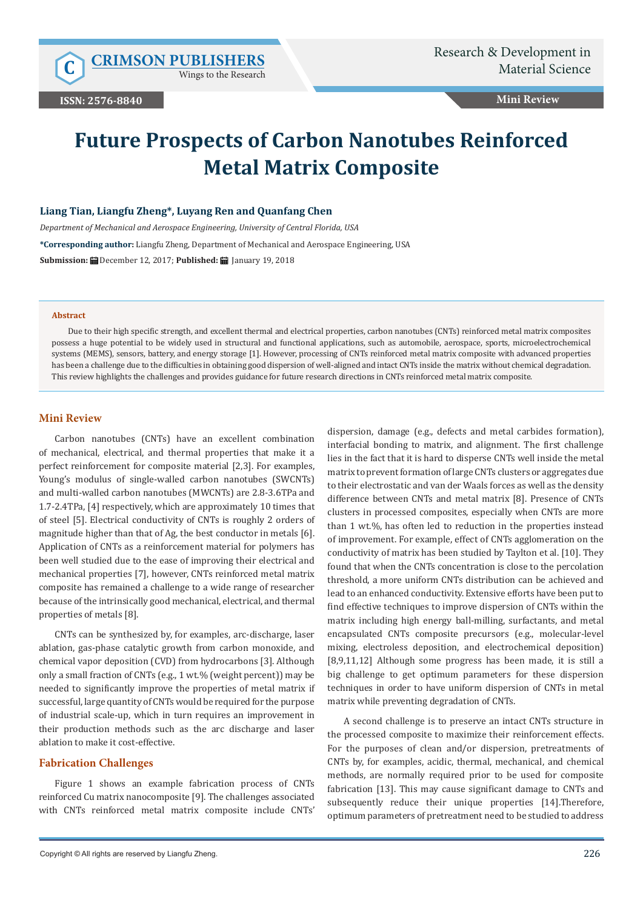Wings to the Research

# **Mini Review**

# **Future Prospects of Carbon Nanotubes Reinforced Metal Matrix Composite**

## **Liang Tian, Liangfu Zheng\*, Luyang Ren and Quanfang Chen**

*Department of Mechanical and Aerospace Engineering, University of Central Florida, USA* **\*Corresponding author:** Liangfu Zheng, Department of Mechanical and Aerospace Engineering, USA **Submission:** December 12, 2017; **Published:** January 19, 2018

### **Abstract**

Due to their high specific strength, and excellent thermal and electrical properties, carbon nanotubes (CNTs) reinforced metal matrix composites possess a huge potential to be widely used in structural and functional applications, such as automobile, aerospace, sports, microelectrochemical systems (MEMS), sensors, battery, and energy storage [1]. However, processing of CNTs reinforced metal matrix composite with advanced properties has been a challenge due to the difficulties in obtaining good dispersion of well-aligned and intact CNTs inside the matrix without chemical degradation. This review highlights the challenges and provides guidance for future research directions in CNTs reinforced metal matrix composite.

# **Mini Review**

Carbon nanotubes (CNTs) have an excellent combination of mechanical, electrical, and thermal properties that make it a perfect reinforcement for composite material [2,3]. For examples, Young's modulus of single-walled carbon nanotubes (SWCNTs) and multi-walled carbon nanotubes (MWCNTs) are 2.8-3.6TPa and 1.7-2.4TPa, [4] respectively, which are approximately 10 times that of steel [5]. Electrical conductivity of CNTs is roughly 2 orders of magnitude higher than that of Ag, the best conductor in metals [6]. Application of CNTs as a reinforcement material for polymers has been well studied due to the ease of improving their electrical and mechanical properties [7], however, CNTs reinforced metal matrix composite has remained a challenge to a wide range of researcher because of the intrinsically good mechanical, electrical, and thermal properties of metals [8].

CNTs can be synthesized by, for examples, arc-discharge, laser ablation, gas-phase catalytic growth from carbon monoxide, and chemical vapor deposition (CVD) from hydrocarbons [3]. Although only a small fraction of CNTs (e.g., 1 wt.% (weight percent)) may be needed to significantly improve the properties of metal matrix if successful, large quantity of CNTs would be required for the purpose of industrial scale-up, which in turn requires an improvement in their production methods such as the arc discharge and laser ablation to make it cost-effective.

# **Fabrication Challenges**

Figure 1 shows an example fabrication process of CNTs reinforced Cu matrix nanocomposite [9]. The challenges associated with CNTs reinforced metal matrix composite include CNTs' dispersion, damage (e.g., defects and metal carbides formation), interfacial bonding to matrix, and alignment. The first challenge lies in the fact that it is hard to disperse CNTs well inside the metal matrix to prevent formation of large CNTs clusters or aggregates due to their electrostatic and van der Waals forces as well as the density difference between CNTs and metal matrix [8]. Presence of CNTs clusters in processed composites, especially when CNTs are more than 1 wt.%, has often led to reduction in the properties instead of improvement. For example, effect of CNTs agglomeration on the conductivity of matrix has been studied by Taylton et al. [10]. They found that when the CNTs concentration is close to the percolation threshold, a more uniform CNTs distribution can be achieved and lead to an enhanced conductivity. Extensive efforts have been put to find effective techniques to improve dispersion of CNTs within the matrix including high energy ball-milling, surfactants, and metal encapsulated CNTs composite precursors (e.g., molecular-level mixing, electroless deposition, and electrochemical deposition) [8,9,11,12] Although some progress has been made, it is still a big challenge to get optimum parameters for these dispersion techniques in order to have uniform dispersion of CNTs in metal matrix while preventing degradation of CNTs.

A second challenge is to preserve an intact CNTs structure in the processed composite to maximize their reinforcement effects. For the purposes of clean and/or dispersion, pretreatments of CNTs by, for examples, acidic, thermal, mechanical, and chemical methods, are normally required prior to be used for composite fabrication [13]. This may cause significant damage to CNTs and subsequently reduce their unique properties [14].Therefore, optimum parameters of pretreatment need to be studied to address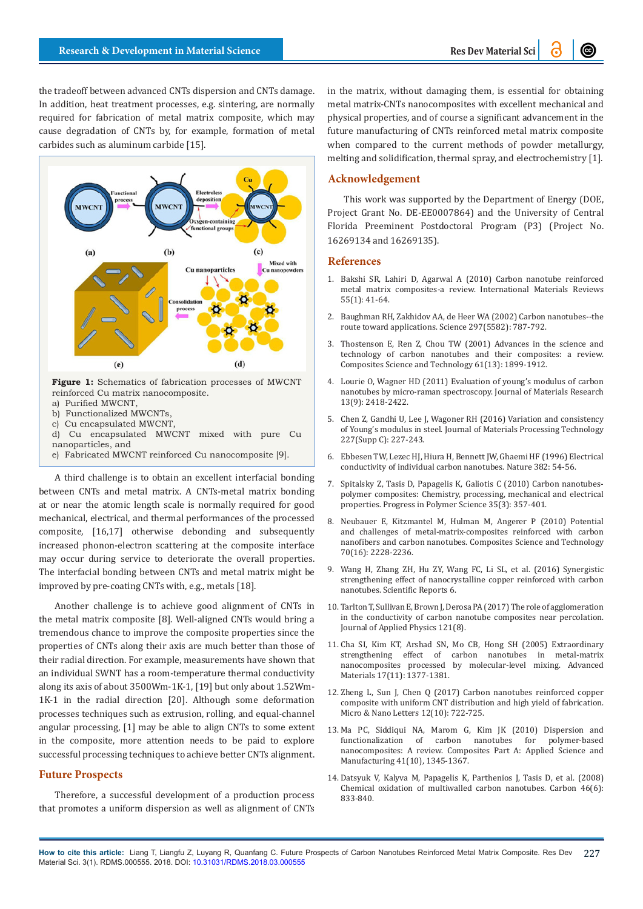the tradeoff between advanced CNTs dispersion and CNTs damage. In addition, heat treatment processes, e.g. sintering, are normally required for fabrication of metal matrix composite, which may cause degradation of CNTs by, for example, formation of metal carbides such as aluminum carbide [15].



- b) Functionalized MWCNTs,
- c) Cu encapsulated MWCNT
- d) Cu encapsulated MWCNT mixed with pure Cu nanoparticles, and
- e) Fabricated MWCNT reinforced Cu nanocomposite [9].

A third challenge is to obtain an excellent interfacial bonding between CNTs and metal matrix. A CNTs-metal matrix bonding at or near the atomic length scale is normally required for good mechanical, electrical, and thermal performances of the processed composite, [16,17] otherwise debonding and subsequently increased phonon-electron scattering at the composite interface may occur during service to deteriorate the overall properties. The interfacial bonding between CNTs and metal matrix might be improved by pre-coating CNTs with, e.g., metals [18].

Another challenge is to achieve good alignment of CNTs in the metal matrix composite [8]. Well-aligned CNTs would bring a tremendous chance to improve the composite properties since the properties of CNTs along their axis are much better than those of their radial direction. For example, measurements have shown that an individual SWNT has a room-temperature thermal conductivity along its axis of about 3500Wm-1K-1, [19] but only about 1.52Wm-1K-1 in the radial direction [20]. Although some deformation processes techniques such as extrusion, rolling, and equal-channel angular processing, [1] may be able to align CNTs to some extent in the composite, more attention needs to be paid to explore successful processing techniques to achieve better CNTs alignment.

# **Future Prospects**

Therefore, a successful development of a production process that promotes a uniform dispersion as well as alignment of CNTs in the matrix, without damaging them, is essential for obtaining metal matrix-CNTs nanocomposites with excellent mechanical and physical properties, and of course a significant advancement in the future manufacturing of CNTs reinforced metal matrix composite when compared to the current methods of powder metallurgy, melting and solidification, thermal spray, and electrochemistry [1].

# **Acknowledgement**

This work was supported by the Department of Energy (DOE, Project Grant No. DE-EE0007864) and the University of Central Florida Preeminent Postdoctoral Program (P3) (Project No. 16269134 and 16269135).

### **References**

- 1. [Bakshi SR, Lahiri D, Agarwal A \(2010\) Carbon nanotube reinforced](http://www.tandfonline.com/doi/abs/10.1179/095066009X12572530170543) [metal matrix composites-a review. International Materials Reviews](http://www.tandfonline.com/doi/abs/10.1179/095066009X12572530170543) [55\(1\): 41-64.](http://www.tandfonline.com/doi/abs/10.1179/095066009X12572530170543)
- 2. [Baughman RH, Zakhidov AA, de Heer WA \(2002\) Carbon nanotubes--the](https://www.ncbi.nlm.nih.gov/pubmed/12161643) [route toward applications. Science 297\(5582\): 787-792.](https://www.ncbi.nlm.nih.gov/pubmed/12161643)
- 3. [Thostenson E, Ren Z, Chou TW \(2001\) Advances in the science and](https://www.sciencedirect.com/science/article/pii/S026635380100094X) [technology of carbon nanotubes and their composites: a review.](https://www.sciencedirect.com/science/article/pii/S026635380100094X) [Composites Science and Technology 61\(13\): 1899-1912.](https://www.sciencedirect.com/science/article/pii/S026635380100094X)
- 4. Lourie O, Wagner HD (2011) Evaluation of young's modulus of carbon nanotubes by micro-raman spectroscopy. Journal of Materials Research 13(9): 2418-2422.
- 5. [Chen Z, Gandhi U, Lee J, Wagoner RH \(2016\) Variation and consistency](https://www.sciencedirect.com/science/article/pii/S0924013615301011) [of Young's modulus in steel. Journal of Materials Processing Technology](https://www.sciencedirect.com/science/article/pii/S0924013615301011) [227\(Supp C\): 227-243.](https://www.sciencedirect.com/science/article/pii/S0924013615301011)
- 6. [Ebbesen TW, Lezec HJ, Hiura H, Bennett JW, Ghaemi HF \(1996\) Electrical](https://www.nature.com/articles/382054a0) [conductivity of individual carbon nanotubes. Nature 382: 54-56.](https://www.nature.com/articles/382054a0)
- 7. [Spitalsky Z, Tasis D, Papagelis K, Galiotis C \(2010\) Carbon nanotubes](https://www.sciencedirect.com/science/article/pii/S0079670009000859)[polymer composites: Chemistry, processing, mechanical and electrical](https://www.sciencedirect.com/science/article/pii/S0079670009000859) [properties. Progress in Polymer Science 35\(3\): 357-401.](https://www.sciencedirect.com/science/article/pii/S0079670009000859)
- 8. [Neubauer E, Kitzmantel M, Hulman M, Angerer P \(2010\) Potential](https://hal.archives-ouvertes.fr/hal-00696570/document) [and challenges of metal-matrix-composites reinforced with carbon](https://hal.archives-ouvertes.fr/hal-00696570/document) [nanofibers and carbon nanotubes. Composites Science and Technology](https://hal.archives-ouvertes.fr/hal-00696570/document) [70\(16\): 2228-2236.](https://hal.archives-ouvertes.fr/hal-00696570/document)
- 9. [Wang H, Zhang ZH, Hu ZY, Wang FC, Li SL, et al. \(2016\) Synergistic](https://www.nature.com/articles/srep26258) [strengthening effect of nanocrystalline copper reinforced with carbon](https://www.nature.com/articles/srep26258) [nanotubes. Scientific Reports 6.](https://www.nature.com/articles/srep26258)
- 10. [Tarlton T, Sullivan E, Brown J, Derosa PA \(2017\) The role of agglomeration](http://aip.scitation.org/doi/abs/10.1063/1.4977100?journalCode=jap) [in the conductivity of carbon nanotube composites near percolation.](http://aip.scitation.org/doi/abs/10.1063/1.4977100?journalCode=jap) [Journal of Applied Physics 121\(8\).](http://aip.scitation.org/doi/abs/10.1063/1.4977100?journalCode=jap)
- 11. [Cha SI, Kim KT, Arshad SN, Mo CB, Hong SH \(2005\) Extraordinary](http://onlinelibrary.wiley.com/doi/10.1002/adma.200401933/abstract) [strengthening effect of carbon nanotubes in metal-matrix](http://onlinelibrary.wiley.com/doi/10.1002/adma.200401933/abstract) [nanocomposites processed by molecular-level mixing. Advanced](http://onlinelibrary.wiley.com/doi/10.1002/adma.200401933/abstract) [Materials 17\(11\): 1377-1381.](http://onlinelibrary.wiley.com/doi/10.1002/adma.200401933/abstract)
- 12. [Zheng L, Sun J, Chen Q \(2017\) Carbon nanotubes reinforced copper](http://ieeexplore.ieee.org/document/8061095/) [composite with uniform CNT distribution and high yield of fabrication.](http://ieeexplore.ieee.org/document/8061095/) [Micro & Nano Letters 12\(10\): 722-725.](http://ieeexplore.ieee.org/document/8061095/)
- 13. [Ma PC, Siddiqui NA, Marom G, Kim JK \(2010\) Dispersion and](https://www.sciencedirect.com/science/article/pii/S1359835X10002009) functionalization of carbon nanotubes for [nanocomposites: A review. Composites Part A: Applied Science and](https://www.sciencedirect.com/science/article/pii/S1359835X10002009) [Manufacturing 41\(10\), 1345-1367.](https://www.sciencedirect.com/science/article/pii/S1359835X10002009)
- 14. [Datsyuk V, Kalyva M, Papagelis K, Parthenios J, Tasis D, et al. \(2008\)](https://www.sciencedirect.com/science/article/pii/S0008622308000717) [Chemical oxidation of multiwalled carbon nanotubes. Carbon 46\(6\):](https://www.sciencedirect.com/science/article/pii/S0008622308000717) [833-840.](https://www.sciencedirect.com/science/article/pii/S0008622308000717)